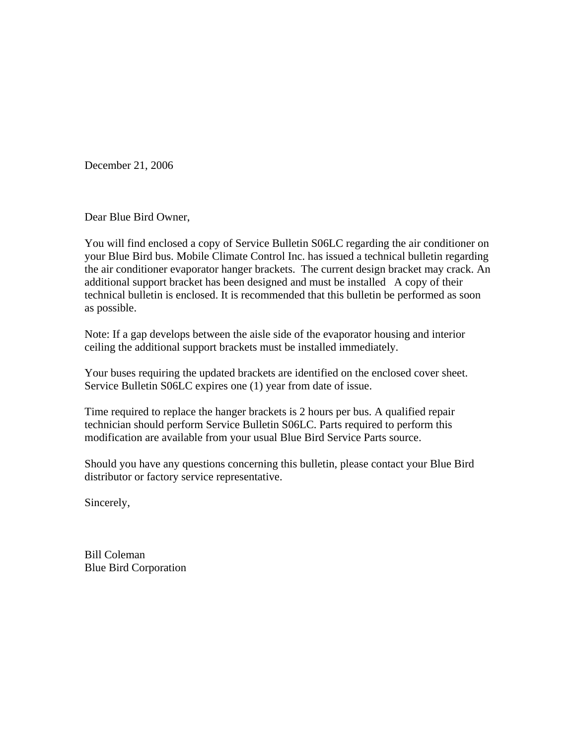December 21, 2006

Dear Blue Bird Owner,

You will find enclosed a copy of Service Bulletin S06LC regarding the air conditioner on your Blue Bird bus. Mobile Climate Control Inc. has issued a technical bulletin regarding the air conditioner evaporator hanger brackets. The current design bracket may crack. An additional support bracket has been designed and must be installed A copy of their technical bulletin is enclosed. It is recommended that this bulletin be performed as soon as possible.

Note: If a gap develops between the aisle side of the evaporator housing and interior ceiling the additional support brackets must be installed immediately.

Your buses requiring the updated brackets are identified on the enclosed cover sheet. Service Bulletin S06LC expires one (1) year from date of issue.

Time required to replace the hanger brackets is 2 hours per bus. A qualified repair technician should perform Service Bulletin S06LC. Parts required to perform this modification are available from your usual Blue Bird Service Parts source.

Should you have any questions concerning this bulletin, please contact your Blue Bird distributor or factory service representative.

Sincerely,

Bill Coleman Blue Bird Corporation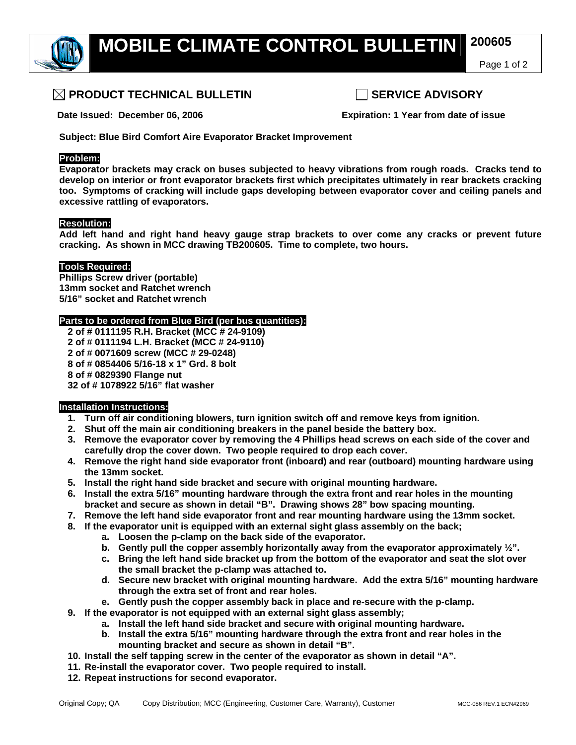

Page 1 of 2

## **PRODUCT TECHNICAL BULLETIN SERVICE ADVISORY**

 **Date Issued: December 06, 2006 Expiration: 1 Year from date of issue** 

**Subject: Blue Bird Comfort Aire Evaporator Bracket Improvement** 

### **Problem:**

**Evaporator brackets may crack on buses subjected to heavy vibrations from rough roads. Cracks tend to develop on interior or front evaporator brackets first which precipitates ultimately in rear brackets cracking too. Symptoms of cracking will include gaps developing between evaporator cover and ceiling panels and excessive rattling of evaporators.** 

#### **Resolution:**

**Add left hand and right hand heavy gauge strap brackets to over come any cracks or prevent future cracking. As shown in MCC drawing TB200605. Time to complete, two hours.** 

#### **Tools Required:**

**Phillips Screw driver (portable) 13mm socket and Ratchet wrench 5/16" socket and Ratchet wrench** 

#### **Parts to be ordered from Blue Bird (per bus quantities):**

**2 of # 0111195 R.H. Bracket (MCC # 24-9109) 2 of # 0111194 L.H. Bracket (MCC # 24-9110) 2 of # 0071609 screw (MCC # 29-0248) 8 of # 0854406 5/16-18 x 1" Grd. 8 bolt 8 of # 0829390 Flange nut 32 of # 1078922 5/16" flat washer** 

#### **Installation Instructions:**

- **1. Turn off air conditioning blowers, turn ignition switch off and remove keys from ignition.**
- **2. Shut off the main air conditioning breakers in the panel beside the battery box.**
- **3. Remove the evaporator cover by removing the 4 Phillips head screws on each side of the cover and carefully drop the cover down. Two people required to drop each cover.**
- **4. Remove the right hand side evaporator front (inboard) and rear (outboard) mounting hardware using the 13mm socket.**
- **5. Install the right hand side bracket and secure with original mounting hardware.**
- **6. Install the extra 5/16" mounting hardware through the extra front and rear holes in the mounting bracket and secure as shown in detail "B". Drawing shows 28" bow spacing mounting.**
- **7. Remove the left hand side evaporator front and rear mounting hardware using the 13mm socket.**
- **8. If the evaporator unit is equipped with an external sight glass assembly on the back;** 
	- **a. Loosen the p-clamp on the back side of the evaporator.**
	- **b. Gently pull the copper assembly horizontally away from the evaporator approximately ½".**
	- **c. Bring the left hand side bracket up from the bottom of the evaporator and seat the slot over the small bracket the p-clamp was attached to.**
	- **d. Secure new bracket with original mounting hardware. Add the extra 5/16" mounting hardware through the extra set of front and rear holes.**
	- **e. Gently push the copper assembly back in place and re-secure with the p-clamp.**
- **9. If the evaporator is not equipped with an external sight glass assembly;** 
	- **a. Install the left hand side bracket and secure with original mounting hardware.**
	- **b. Install the extra 5/16" mounting hardware through the extra front and rear holes in the mounting bracket and secure as shown in detail "B".**
- **10. Install the self tapping screw in the center of the evaporator as shown in detail "A".**
- **11. Re-install the evaporator cover. Two people required to install.**
- **12. Repeat instructions for second evaporator.**